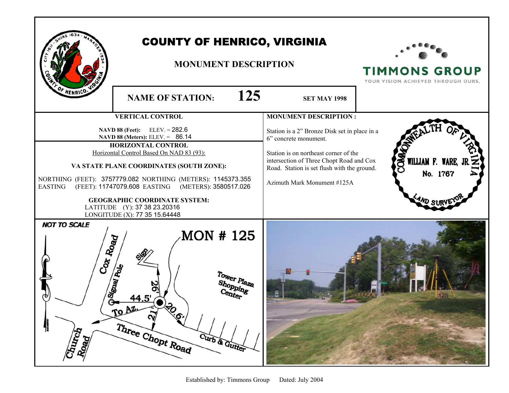| F HENRICO.                                                                                            | <b>COUNTY OF HENRICO, VIRGINIA</b><br><b>MONUMENT DESCRIPTION</b>                                                                                                                                                                                                                                                   |                                                                                                                                                                                                                                           | <b>TIMMONS GROUP</b><br>YOUR VISION ACHIEVED THROUGH OURS. |
|-------------------------------------------------------------------------------------------------------|---------------------------------------------------------------------------------------------------------------------------------------------------------------------------------------------------------------------------------------------------------------------------------------------------------------------|-------------------------------------------------------------------------------------------------------------------------------------------------------------------------------------------------------------------------------------------|------------------------------------------------------------|
|                                                                                                       | 125<br><b>NAME OF STATION:</b>                                                                                                                                                                                                                                                                                      | <b>SET MAY 1998</b>                                                                                                                                                                                                                       |                                                            |
|                                                                                                       | <b>VERTICAL CONTROL</b>                                                                                                                                                                                                                                                                                             | <b>MONUMENT DESCRIPTION:</b>                                                                                                                                                                                                              |                                                            |
| <b>EASTING</b>                                                                                        | <b>NAVD 88 (Feet):</b> ELEV. = $282.6$<br>NAVD 88 (Meters): ELEV. = 86.14<br><b>HORIZONTAL CONTROL</b><br>Horizontal Control Based On NAD 83 (93):<br>VA STATE PLANE COORDINATES (SOUTH ZONE):<br>NORTHING (FEET): 3757779.082 NORTHING (METERS): 1145373.355<br>(FEET): 11747079.608 EASTING (METERS): 3580517.026 | Station is a 2" Bronze Disk set in place in a<br>6" concrete monument.<br>Station is on northeast corner of the<br>intersection of Three Chopt Road and Cox<br>Road. Station is set flush with the ground.<br>Azimuth Mark Monument #125A | E<br>WILLIAM F. WARE, J<br>No. 1767                        |
| <b>GEOGRAPHIC COORDINATE SYSTEM:</b><br>LATITUDE (Y): 37 38 23.20316<br>LONGITUDE (X): 77 35 15.64448 |                                                                                                                                                                                                                                                                                                                     |                                                                                                                                                                                                                                           |                                                            |
| <b>NOT TO SCALE</b><br>Cox Road<br>Signal Pole<br>Church<br>Road                                      | <b>MON #125</b><br>Tower Plaza<br>Shopping<br>TO AZ<br><b>TO.</b><br>$\tilde{\mathbf{v}}$<br>Three Chopt Road<br>Curb & Gutter                                                                                                                                                                                      |                                                                                                                                                                                                                                           |                                                            |